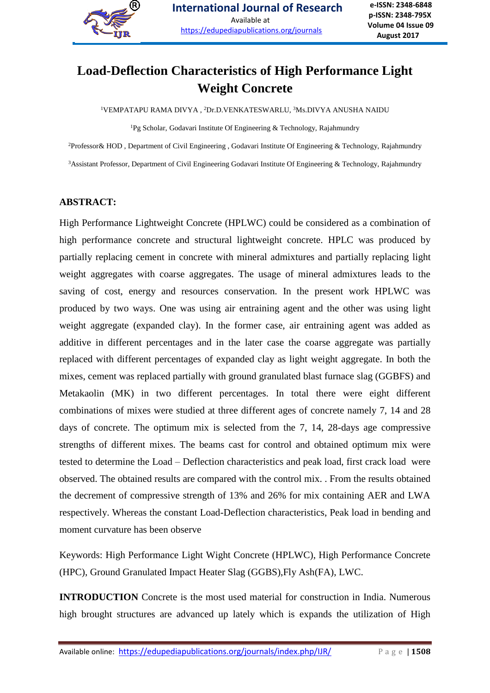

## **Load-Deflection Characteristics of High Performance Light Weight Concrete**

<sup>1</sup>VEMPATAPU RAMA DIVYA, <sup>2</sup>Dr.D.VENKATESWARLU, <sup>3</sup>Ms.DIVYA ANUSHA NAIDU

<sup>1</sup>Pg Scholar, Godavari Institute Of Engineering & Technology, Rajahmundry

<sup>2</sup>Professor& HOD , Department of Civil Engineering , Godavari Institute Of Engineering & Technology, Rajahmundry <sup>3</sup>Assistant Professor, Department of Civil Engineering Godavari Institute Of Engineering & Technology, Rajahmundry

#### **ABSTRACT:**

High Performance Lightweight Concrete (HPLWC) could be considered as a combination of high performance concrete and structural lightweight concrete. HPLC was produced by partially replacing cement in concrete with mineral admixtures and partially replacing light weight aggregates with coarse aggregates. The usage of mineral admixtures leads to the saving of cost, energy and resources conservation. In the present work HPLWC was produced by two ways. One was using air entraining agent and the other was using light weight aggregate (expanded clay). In the former case, air entraining agent was added as additive in different percentages and in the later case the coarse aggregate was partially replaced with different percentages of expanded clay as light weight aggregate. In both the mixes, cement was replaced partially with ground granulated blast furnace slag (GGBFS) and Metakaolin (MK) in two different percentages. In total there were eight different combinations of mixes were studied at three different ages of concrete namely 7, 14 and 28 days of concrete. The optimum mix is selected from the 7, 14, 28-days age compressive strengths of different mixes. The beams cast for control and obtained optimum mix were tested to determine the Load – Deflection characteristics and peak load, first crack load were observed. The obtained results are compared with the control mix. . From the results obtained the decrement of compressive strength of 13% and 26% for mix containing AER and LWA respectively. Whereas the constant Load-Deflection characteristics, Peak load in bending and moment curvature has been observe

Keywords: High Performance Light Wight Concrete (HPLWC), High Performance Concrete (HPC), Ground Granulated Impact Heater Slag (GGBS),Fly Ash(FA), LWC.

**INTRODUCTION** Concrete is the most used material for construction in India. Numerous high brought structures are advanced up lately which is expands the utilization of High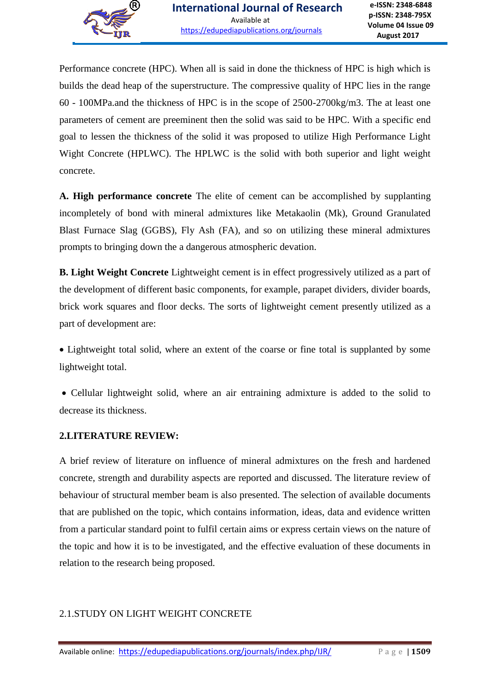Performance concrete (HPC). When all is said in done the thickness of HPC is high which is builds the dead heap of the superstructure. The compressive quality of HPC lies in the range 60 - 100MPa.and the thickness of HPC is in the scope of 2500-2700kg/m3. The at least one parameters of cement are preeminent then the solid was said to be HPC. With a specific end goal to lessen the thickness of the solid it was proposed to utilize High Performance Light Wight Concrete (HPLWC). The HPLWC is the solid with both superior and light weight concrete.

**A. High performance concrete** The elite of cement can be accomplished by supplanting incompletely of bond with mineral admixtures like Metakaolin (Mk), Ground Granulated Blast Furnace Slag (GGBS), Fly Ash (FA), and so on utilizing these mineral admixtures prompts to bringing down the a dangerous atmospheric devation.

**B. Light Weight Concrete** Lightweight cement is in effect progressively utilized as a part of the development of different basic components, for example, parapet dividers, divider boards, brick work squares and floor decks. The sorts of lightweight cement presently utilized as a part of development are:

• Lightweight total solid, where an extent of the coarse or fine total is supplanted by some lightweight total.

 Cellular lightweight solid, where an air entraining admixture is added to the solid to decrease its thickness.

#### **2.LITERATURE REVIEW:**

A brief review of literature on influence of mineral admixtures on the fresh and hardened concrete, strength and durability aspects are reported and discussed. The literature review of behaviour of structural member beam is also presented. The selection of available documents that are published on the topic, which contains information, ideas, data and evidence written from a particular standard point to fulfil certain aims or express certain views on the nature of the topic and how it is to be investigated, and the effective evaluation of these documents in relation to the research being proposed.

#### 2.1.STUDY ON LIGHT WEIGHT CONCRETE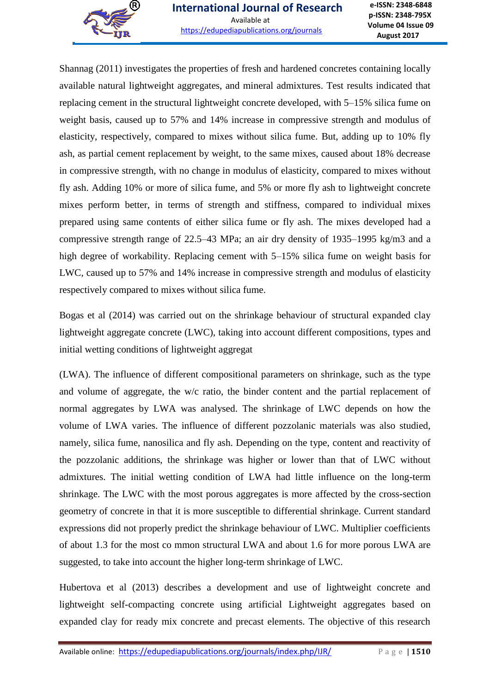

Shannag (2011) investigates the properties of fresh and hardened concretes containing locally available natural lightweight aggregates, and mineral admixtures. Test results indicated that replacing cement in the structural lightweight concrete developed, with 5–15% silica fume on weight basis, caused up to 57% and 14% increase in compressive strength and modulus of elasticity, respectively, compared to mixes without silica fume. But, adding up to 10% fly ash, as partial cement replacement by weight, to the same mixes, caused about 18% decrease in compressive strength, with no change in modulus of elasticity, compared to mixes without fly ash. Adding 10% or more of silica fume, and 5% or more fly ash to lightweight concrete mixes perform better, in terms of strength and stiffness, compared to individual mixes prepared using same contents of either silica fume or fly ash. The mixes developed had a compressive strength range of 22.5–43 MPa; an air dry density of 1935–1995 kg/m3 and a high degree of workability. Replacing cement with 5–15% silica fume on weight basis for LWC, caused up to 57% and 14% increase in compressive strength and modulus of elasticity respectively compared to mixes without silica fume.

Bogas et al (2014) was carried out on the shrinkage behaviour of structural expanded clay lightweight aggregate concrete (LWC), taking into account different compositions, types and initial wetting conditions of lightweight aggregat

(LWA). The influence of different compositional parameters on shrinkage, such as the type and volume of aggregate, the w/c ratio, the binder content and the partial replacement of normal aggregates by LWA was analysed. The shrinkage of LWC depends on how the volume of LWA varies. The influence of different pozzolanic materials was also studied, namely, silica fume, nanosilica and fly ash. Depending on the type, content and reactivity of the pozzolanic additions, the shrinkage was higher or lower than that of LWC without admixtures. The initial wetting condition of LWA had little influence on the long-term shrinkage. The LWC with the most porous aggregates is more affected by the cross-section geometry of concrete in that it is more susceptible to differential shrinkage. Current standard expressions did not properly predict the shrinkage behaviour of LWC. Multiplier coefficients of about 1.3 for the most co mmon structural LWA and about 1.6 for more porous LWA are suggested, to take into account the higher long-term shrinkage of LWC.

Hubertova et al (2013) describes a development and use of lightweight concrete and lightweight self-compacting concrete using artificial Lightweight aggregates based on expanded clay for ready mix concrete and precast elements. The objective of this research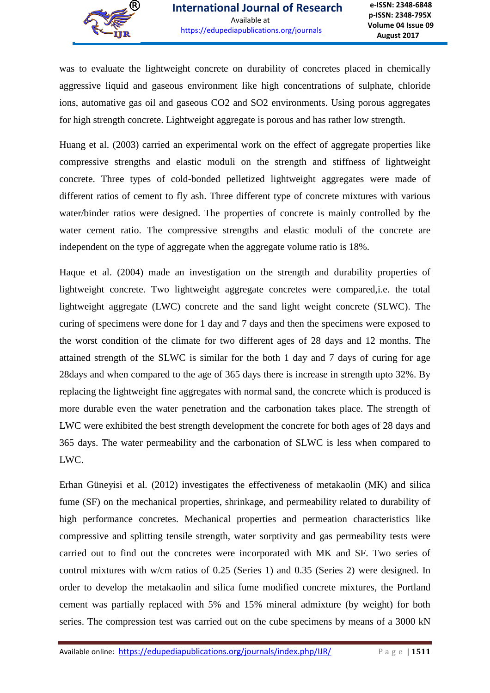was to evaluate the lightweight concrete on durability of concretes placed in chemically aggressive liquid and gaseous environment like high concentrations of sulphate, chloride ions, automative gas oil and gaseous CO2 and SO2 environments. Using porous aggregates for high strength concrete. Lightweight aggregate is porous and has rather low strength.

Huang et al. (2003) carried an experimental work on the effect of aggregate properties like compressive strengths and elastic moduli on the strength and stiffness of lightweight concrete. Three types of cold-bonded pelletized lightweight aggregates were made of different ratios of cement to fly ash. Three different type of concrete mixtures with various water/binder ratios were designed. The properties of concrete is mainly controlled by the water cement ratio. The compressive strengths and elastic moduli of the concrete are independent on the type of aggregate when the aggregate volume ratio is 18%.

Haque et al. (2004) made an investigation on the strength and durability properties of lightweight concrete. Two lightweight aggregate concretes were compared,i.e. the total lightweight aggregate (LWC) concrete and the sand light weight concrete (SLWC). The curing of specimens were done for 1 day and 7 days and then the specimens were exposed to the worst condition of the climate for two different ages of 28 days and 12 months. The attained strength of the SLWC is similar for the both 1 day and 7 days of curing for age 28days and when compared to the age of 365 days there is increase in strength upto 32%. By replacing the lightweight fine aggregates with normal sand, the concrete which is produced is more durable even the water penetration and the carbonation takes place. The strength of LWC were exhibited the best strength development the concrete for both ages of 28 days and 365 days. The water permeability and the carbonation of SLWC is less when compared to LWC.

Erhan Güneyisi et al. (2012) investigates the effectiveness of metakaolin (MK) and silica fume (SF) on the mechanical properties, shrinkage, and permeability related to durability of high performance concretes. Mechanical properties and permeation characteristics like compressive and splitting tensile strength, water sorptivity and gas permeability tests were carried out to find out the concretes were incorporated with MK and SF. Two series of control mixtures with w/cm ratios of 0.25 (Series 1) and 0.35 (Series 2) were designed. In order to develop the metakaolin and silica fume modified concrete mixtures, the Portland cement was partially replaced with 5% and 15% mineral admixture (by weight) for both series. The compression test was carried out on the cube specimens by means of a 3000 kN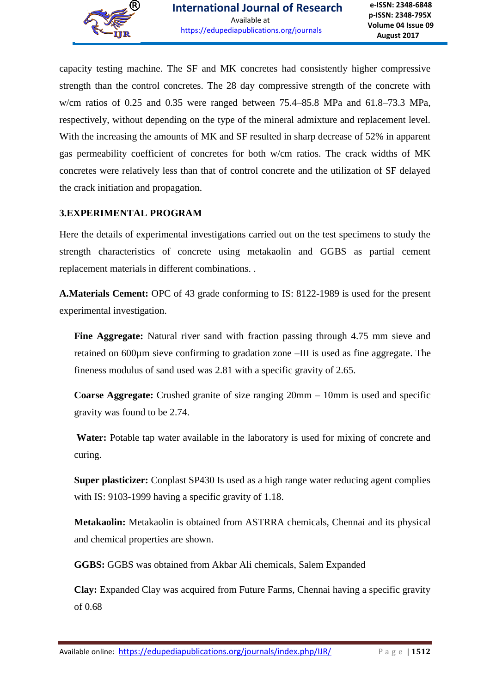

capacity testing machine. The SF and MK concretes had consistently higher compressive strength than the control concretes. The 28 day compressive strength of the concrete with w/cm ratios of 0.25 and 0.35 were ranged between 75.4–85.8 MPa and 61.8–73.3 MPa, respectively, without depending on the type of the mineral admixture and replacement level. With the increasing the amounts of MK and SF resulted in sharp decrease of 52% in apparent gas permeability coefficient of concretes for both w/cm ratios. The crack widths of MK concretes were relatively less than that of control concrete and the utilization of SF delayed the crack initiation and propagation.

#### **3.EXPERIMENTAL PROGRAM**

Here the details of experimental investigations carried out on the test specimens to study the strength characteristics of concrete using metakaolin and GGBS as partial cement replacement materials in different combinations. .

**A.Materials Cement:** OPC of 43 grade conforming to IS: 8122-1989 is used for the present experimental investigation.

**Fine Aggregate:** Natural river sand with fraction passing through 4.75 mm sieve and retained on 600µm sieve confirming to gradation zone –III is used as fine aggregate. The fineness modulus of sand used was 2.81 with a specific gravity of 2.65.

**Coarse Aggregate:** Crushed granite of size ranging 20mm – 10mm is used and specific gravity was found to be 2.74.

**Water:** Potable tap water available in the laboratory is used for mixing of concrete and curing.

**Super plasticizer:** Conplast SP430 Is used as a high range water reducing agent complies with IS: 9103-1999 having a specific gravity of 1.18.

**Metakaolin:** Metakaolin is obtained from ASTRRA chemicals, Chennai and its physical and chemical properties are shown.

**GGBS:** GGBS was obtained from Akbar Ali chemicals, Salem Expanded

**Clay:** Expanded Clay was acquired from Future Farms, Chennai having a specific gravity of 0.68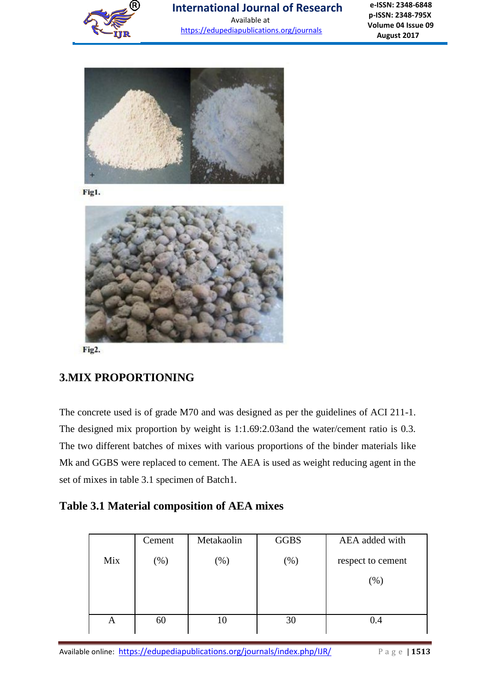

# **International Journal of Research**

Available at <https://edupediapublications.org/journals>

**e-ISSN: 2348-6848 p-ISSN: 2348-795X Volume 04 Issue 09 August 2017**



Fig1.



Fig2.

## **3.MIX PROPORTIONING**

The concrete used is of grade M70 and was designed as per the guidelines of ACI 211-1. The designed mix proportion by weight is 1:1.69:2.03and the water/cement ratio is 0.3. The two different batches of mixes with various proportions of the binder materials like Mk and GGBS were replaced to cement. The AEA is used as weight reducing agent in the set of mixes in table 3.1 specimen of Batch1.

## **Table 3.1 Material composition of AEA mixes**

|     | Cement | Metakaolin | <b>GGBS</b> | AEA added with    |
|-----|--------|------------|-------------|-------------------|
| Mix | $(\%)$ | $(\%)$     | $(\%)$      | respect to cement |
|     |        |            |             | $(\%)$            |
|     |        |            |             |                   |
|     |        |            |             |                   |
| A   | 60     | 10         | 30          | 4.(               |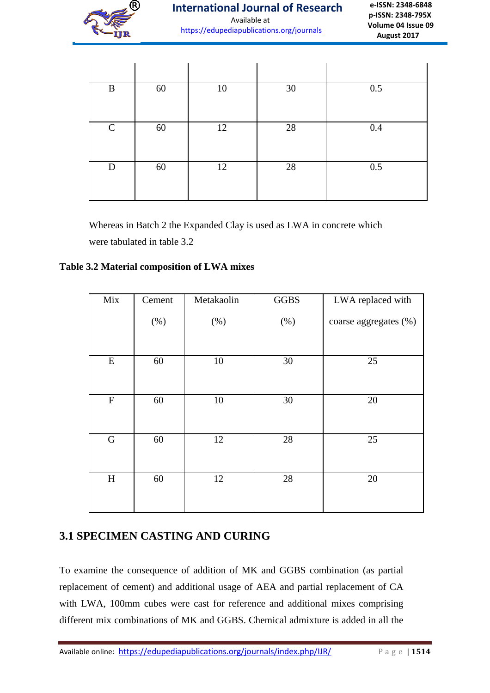

| B           | 60 | 10 | 30 | 0.5     |
|-------------|----|----|----|---------|
| $\mathbf C$ | 60 | 12 | 28 | $0.4\,$ |
| D           | 60 | 12 | 28 | 0.5     |

Whereas in Batch 2 the Expanded Clay is used as LWA in concrete which were tabulated in table 3.2

#### **Table 3.2 Material composition of LWA mixes**

| Mix         | Cement  | Metakaolin | <b>GGBS</b>     | LWA replaced with     |
|-------------|---------|------------|-----------------|-----------------------|
|             | $(\% )$ | $(\% )$    | (%)             | coarse aggregates (%) |
| ${\bf E}$   | 60      | $10\,$     | 30              | 25                    |
| ${\bf F}$   | 60      | 10         | 30              | 20                    |
| $\mathbf G$ | 60      | 12         | $\overline{28}$ | 25                    |
| H           | 60      | 12         | 28              | 20                    |

## **3.1 SPECIMEN CASTING AND CURING**

To examine the consequence of addition of MK and GGBS combination (as partial replacement of cement) and additional usage of AEA and partial replacement of CA with LWA, 100mm cubes were cast for reference and additional mixes comprising different mix combinations of MK and GGBS. Chemical admixture is added in all the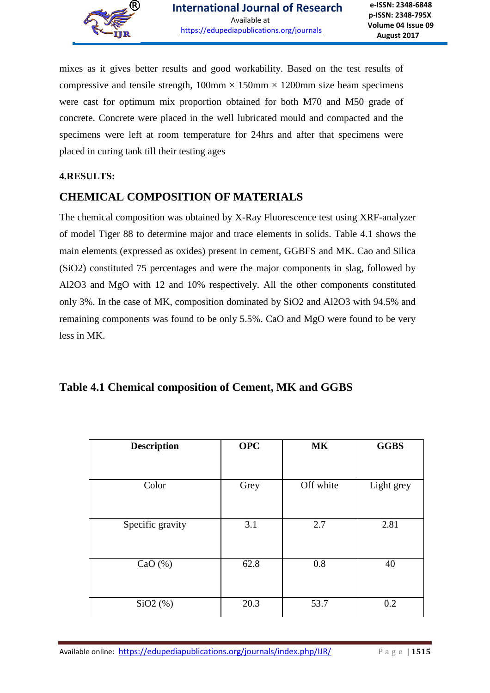

mixes as it gives better results and good workability. Based on the test results of compressive and tensile strength,  $100 \text{mm} \times 150 \text{mm} \times 1200 \text{mm}$  size beam specimens were cast for optimum mix proportion obtained for both M70 and M50 grade of concrete. Concrete were placed in the well lubricated mould and compacted and the specimens were left at room temperature for 24hrs and after that specimens were placed in curing tank till their testing ages

#### **4.RESULTS:**

## **CHEMICAL COMPOSITION OF MATERIALS**

The chemical composition was obtained by X-Ray Fluorescence test using XRF-analyzer of model Tiger 88 to determine major and trace elements in solids. Table 4.1 shows the main elements (expressed as oxides) present in cement, GGBFS and MK. Cao and Silica (SiO2) constituted 75 percentages and were the major components in slag, followed by Al2O3 and MgO with 12 and 10% respectively. All the other components constituted only 3%. In the case of MK, composition dominated by SiO2 and Al2O3 with 94.5% and remaining components was found to be only 5.5%. CaO and MgO were found to be very less in MK.

## **Table 4.1 Chemical composition of Cement, MK and GGBS**

| <b>Description</b> | <b>OPC</b> | <b>MK</b> | <b>GGBS</b> |
|--------------------|------------|-----------|-------------|
| Color              | Grey       | Off white | Light grey  |
| Specific gravity   | 3.1        | 2.7       | 2.81        |
| CaO $(\%)$         | 62.8       | 0.8       | 40          |
| $SiO2$ $%$ )       | 20.3       | 53.7      | 0.2         |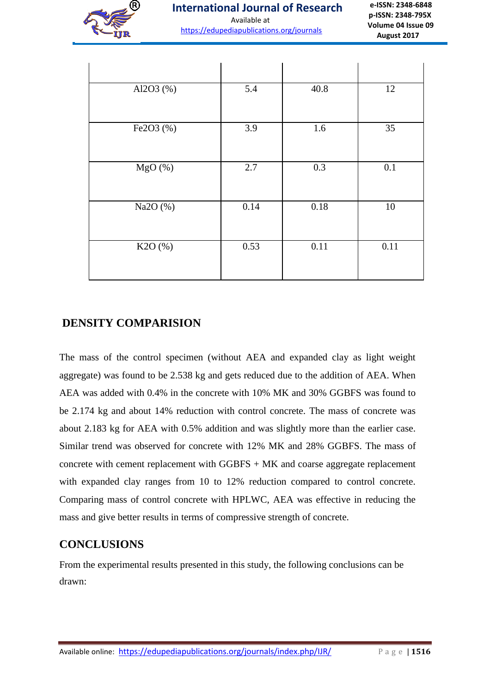

<https://edupediapublications.org/journals>

**e-ISSN: 2348-6848 p-ISSN: 2348-795X Volume 04 Issue 09 August 2017**

| Al2O3 (%)             | 5.4  | 40.8 | 12     |
|-----------------------|------|------|--------|
| Fe2O3 (%)             | 3.9  | 1.6  | 35     |
| $\overline{M}$ gO (%) | 2.7  | 0.3  | 0.1    |
| Na2O (%)              | 0.14 | 0.18 | $10\,$ |
| K2O (%)               | 0.53 | 0.11 | 0.11   |

## **DENSITY COMPARISION**

The mass of the control specimen (without AEA and expanded clay as light weight aggregate) was found to be 2.538 kg and gets reduced due to the addition of AEA. When AEA was added with 0.4% in the concrete with 10% MK and 30% GGBFS was found to be 2.174 kg and about 14% reduction with control concrete. The mass of concrete was about 2.183 kg for AEA with 0.5% addition and was slightly more than the earlier case. Similar trend was observed for concrete with 12% MK and 28% GGBFS. The mass of concrete with cement replacement with GGBFS + MK and coarse aggregate replacement with expanded clay ranges from 10 to 12% reduction compared to control concrete. Comparing mass of control concrete with HPLWC, AEA was effective in reducing the mass and give better results in terms of compressive strength of concrete.

## **CONCLUSIONS**

From the experimental results presented in this study, the following conclusions can be drawn: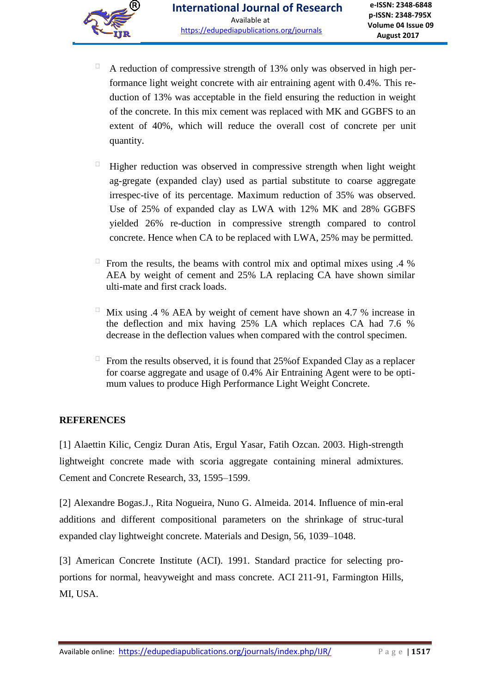- $\Box$ A reduction of compressive strength of 13% only was observed in high performance light weight concrete with air entraining agent with 0.4%. This reduction of 13% was acceptable in the field ensuring the reduction in weight of the concrete. In this mix cement was replaced with MK and GGBFS to an extent of 40%, which will reduce the overall cost of concrete per unit quantity.
- $\Box$ Higher reduction was observed in compressive strength when light weight ag-gregate (expanded clay) used as partial substitute to coarse aggregate irrespec-tive of its percentage. Maximum reduction of 35% was observed. Use of 25% of expanded clay as LWA with 12% MK and 28% GGBFS yielded 26% re-duction in compressive strength compared to control concrete. Hence when CA to be replaced with LWA, 25% may be permitted.
- From the results, the beams with control mix and optimal mixes using  $.4\%$ AEA by weight of cement and 25% LA replacing CA have shown similar ulti-mate and first crack loads.
- $\Box$ Mix using .4 % AEA by weight of cement have shown an 4.7 % increase in the deflection and mix having 25% LA which replaces CA had 7.6 % decrease in the deflection values when compared with the control specimen.
- From the results observed, it is found that  $25\%$  of Expanded Clay as a replacer for coarse aggregate and usage of 0.4% Air Entraining Agent were to be optimum values to produce High Performance Light Weight Concrete.

#### **REFERENCES**

[1] Alaettin Kilic, Cengiz Duran Atis, Ergul Yasar, Fatih Ozcan. 2003. High-strength lightweight concrete made with scoria aggregate containing mineral admixtures. Cement and Concrete Research, 33, 1595–1599.

[2] Alexandre Bogas.J., Rita Nogueira, Nuno G. Almeida. 2014. Influence of min-eral additions and different compositional parameters on the shrinkage of struc-tural expanded clay lightweight concrete. Materials and Design, 56, 1039–1048.

[3] American Concrete Institute (ACI). 1991. Standard practice for selecting proportions for normal, heavyweight and mass concrete. ACI 211-91, Farmington Hills, MI, USA.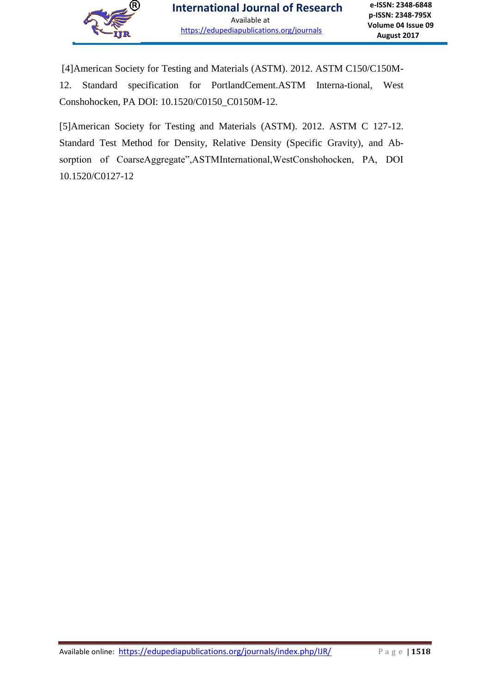

[4]American Society for Testing and Materials (ASTM). 2012. ASTM C150/C150M-12. Standard specification for PortlandCement.ASTM Interna-tional, West Conshohocken, PA DOI: 10.1520/C0150\_C0150M-12.

[5]American Society for Testing and Materials (ASTM). 2012. ASTM C 127-12. Standard Test Method for Density, Relative Density (Specific Gravity), and Absorption of CoarseAggregate",ASTMInternational,WestConshohocken, PA, DOI 10.1520/C0127-12